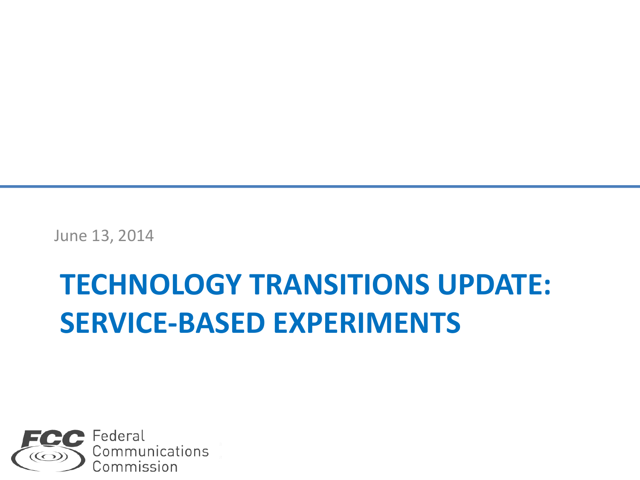June 13, 2014

#### **TECHNOLOGY TRANSITIONS UPDATE: SERVICE-BASED EXPERIMENTS**

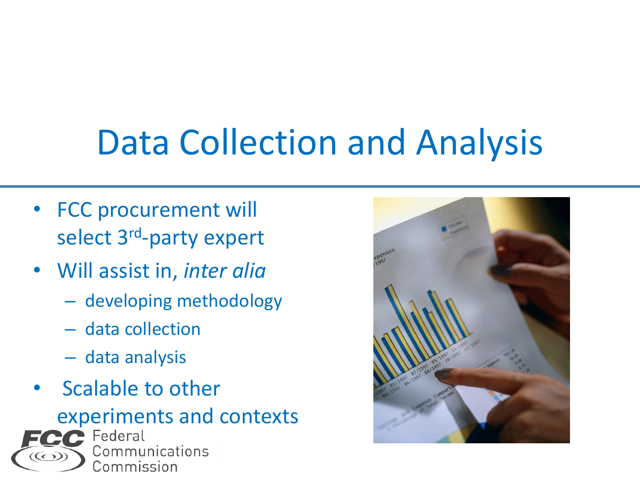# Data Collection and Analysis

- **FCC procurement will** select 3<sup>rd</sup>-party expert
- Will assist in, *inter alia*
	- developing methodology
	- data collection
	- data analysis
- Scalable to other

experiments and contexts

Communications Commission

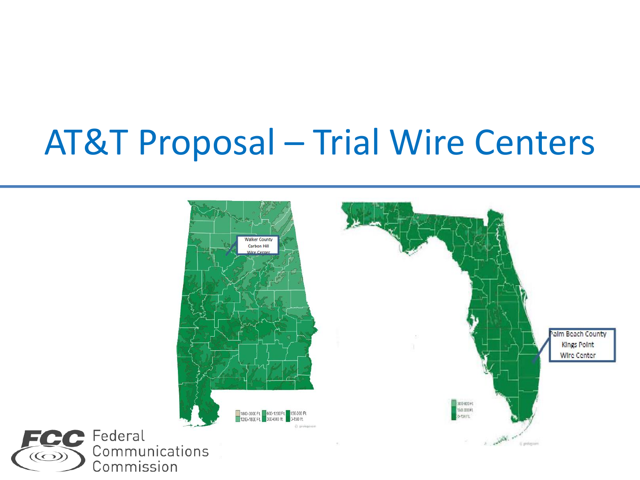### AT&T Proposal – Trial Wire Centers

 $\odot$ 

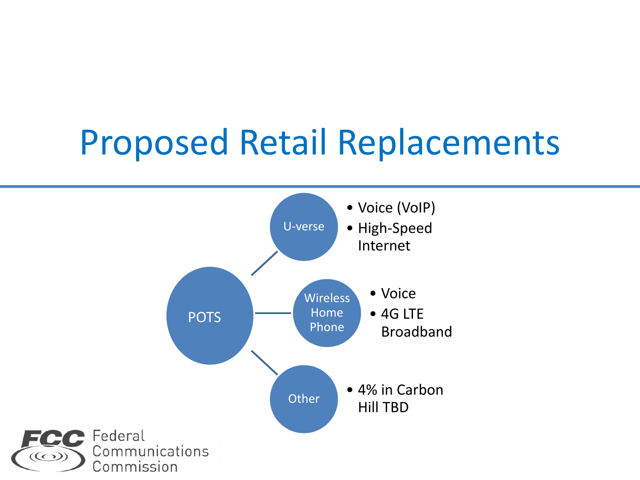#### Proposed Retail Replacements



 $\circled{\textcircled{\small\textrm{-}}}$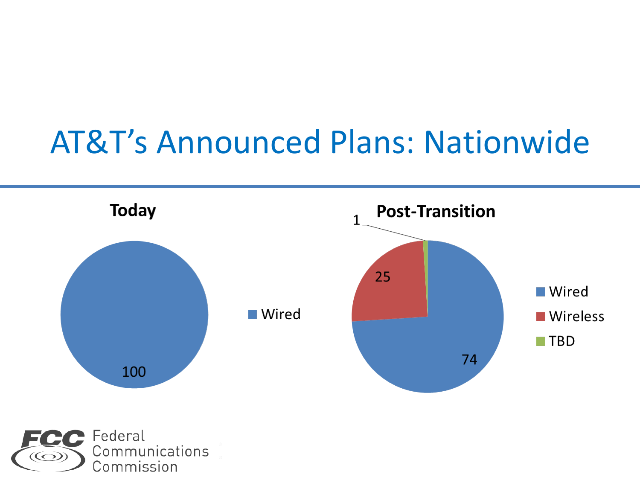#### AT&T's Announced Plans: Nationwide

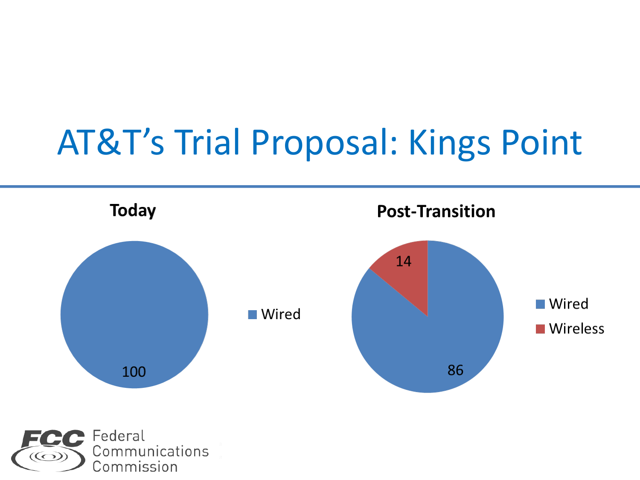## AT&T's Trial Proposal: Kings Point

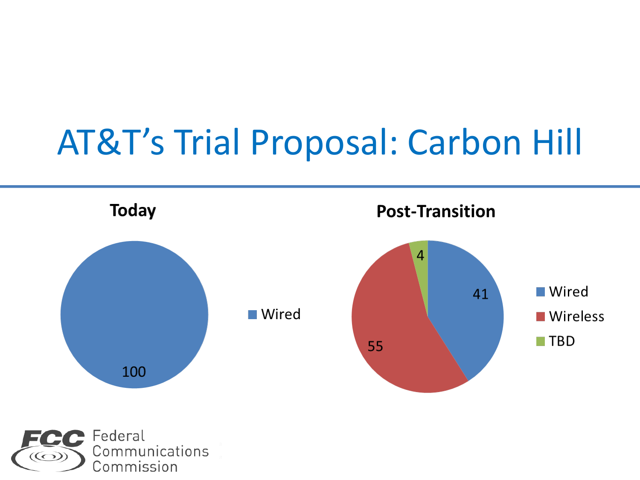## AT&T's Trial Proposal: Carbon Hill



Communications  $\circled{\circ}$ Commission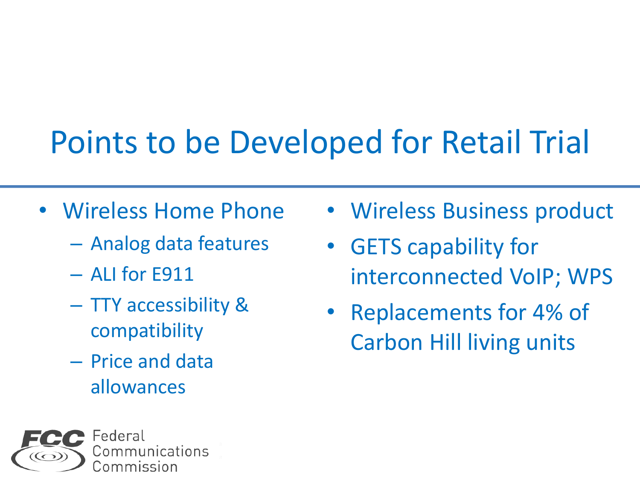#### Points to be Developed for Retail Trial

- Wireless Home Phone
	- Analog data features
	- ALI for E911
	- TTY accessibility & compatibility
	- Price and data allowances



- Wireless Business product
- GETS capability for interconnected VoIP; WPS
- Replacements for 4% of Carbon Hill living units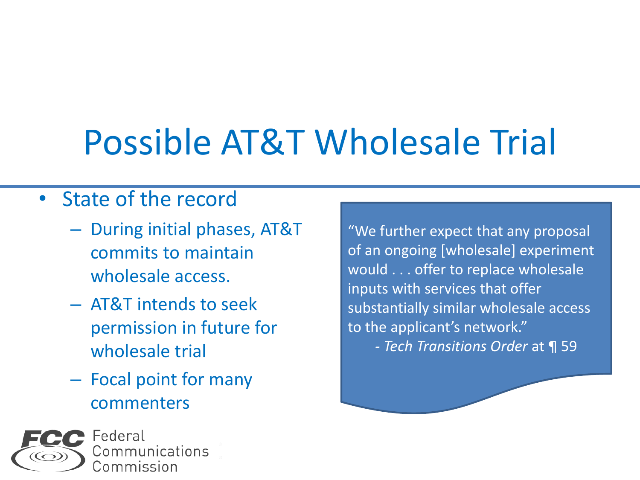# Possible AT&T Wholesale Trial

#### • State of the record

- During initial phases, AT&T commits to maintain wholesale access.
- AT&T intends to seek permission in future for wholesale trial
- Focal point for many commenters



"We further expect that any proposal of an ongoing [wholesale] experiment would . . . offer to replace wholesale inputs with services that offer substantially similar wholesale access to the applicant's network." *- Tech Transitions Order* at ¶ 59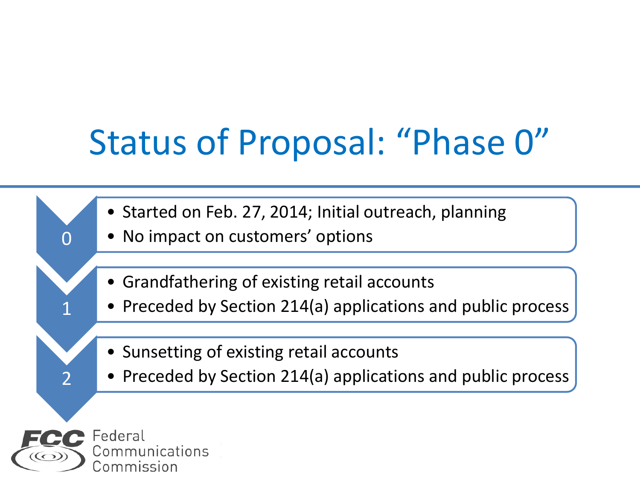## Status of Proposal: "Phase 0"

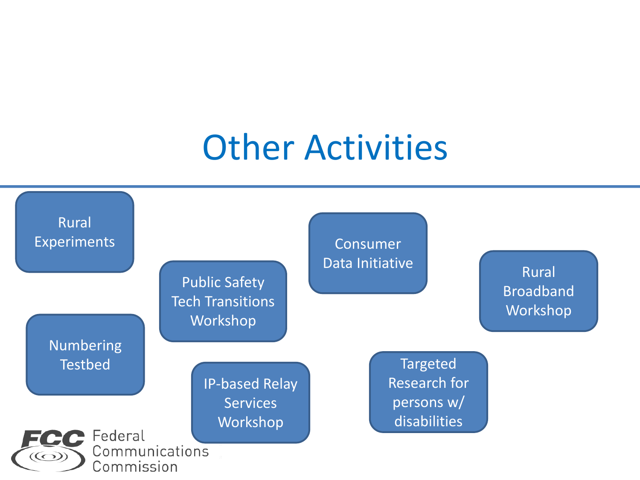#### Other Activities